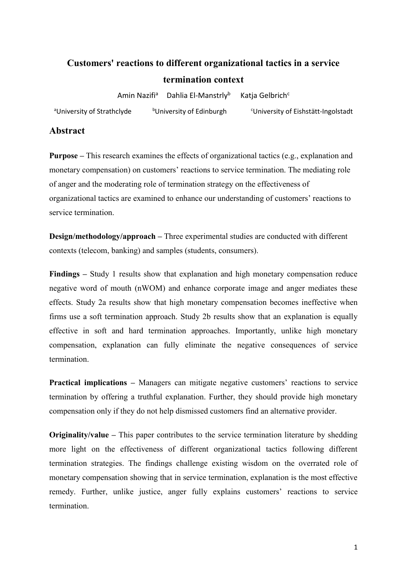# **Customers' reactions to different organizational tactics in a service termination context**

Amin Nazifi<sup>a</sup> Dahlia El-Manstrly<sup>b</sup> Katia Gelbrich<sup>c</sup>

<sup>a</sup>University of Strathclyde bUniversity of Edinburgh <sup>c</sup>University of Eishstätt-Ingolstadt

# **Abstract**

**Purpose –** This research examines the effects of organizational tactics (e.g., explanation and monetary compensation) on customers' reactions to service termination. The mediating role of anger and the moderating role of termination strategy on the effectiveness of organizational tactics are examined to enhance our understanding of customers' reactions to service termination.

**Design/methodology/approach –** Three experimental studies are conducted with different contexts (telecom, banking) and samples (students, consumers).

**Findings –** Study 1 results show that explanation and high monetary compensation reduce negative word of mouth (nWOM) and enhance corporate image and anger mediates these effects. Study 2a results show that high monetary compensation becomes ineffective when firms use a soft termination approach. Study 2b results show that an explanation is equally effective in soft and hard termination approaches. Importantly, unlike high monetary compensation, explanation can fully eliminate the negative consequences of service termination.

**Practical implications –** Managers can mitigate negative customers' reactions to service termination by offering a truthful explanation. Further, they should provide high monetary compensation only if they do not help dismissed customers find an alternative provider.

**Originality/value –** This paper contributes to the service termination literature by shedding more light on the effectiveness of different organizational tactics following different termination strategies. The findings challenge existing wisdom on the overrated role of monetary compensation showing that in service termination, explanation is the most effective remedy. Further, unlike justice, anger fully explains customers' reactions to service termination.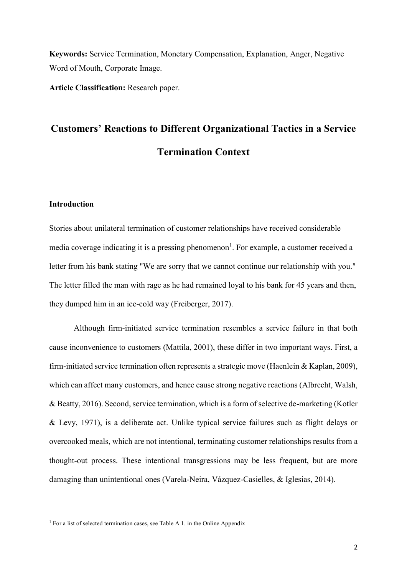**Keywords:** Service Termination, Monetary Compensation, Explanation, Anger, Negative Word of Mouth, Corporate Image.

**Article Classification:** Research paper.

# **Customers' Reactions to Different Organizational Tactics in a Service Termination Context**

# **Introduction**

**.** 

Stories about unilateral termination of customer relationships have received considerable media coverage indicating it is a pressing phenomenon<sup>1</sup>. For example, a customer received a letter from his bank stating "We are sorry that we cannot continue our relationship with you." The letter filled the man with rage as he had remained loyal to his bank for 45 years and then, they dumped him in an ice-cold way (Freiberger, 2017).

Although firm-initiated service termination resembles a service failure in that both cause inconvenience to customers (Mattila, 2001), these differ in two important ways. First, a firm-initiated service termination often represents a strategic move (Haenlein & Kaplan, 2009), which can affect many customers, and hence cause strong negative reactions (Albrecht, Walsh, & Beatty, 2016). Second, service termination, which is a form of selective de-marketing (Kotler & Levy, 1971), is a deliberate act. Unlike typical service failures such as flight delays or overcooked meals, which are not intentional, terminating customer relationships results from a thought-out process. These intentional transgressions may be less frequent, but are more damaging than unintentional ones (Varela-Neira, Vázquez-Casielles, & Iglesias, 2014).

<sup>&</sup>lt;sup>1</sup> For a list of selected termination cases, see Table A 1. in the Online Appendix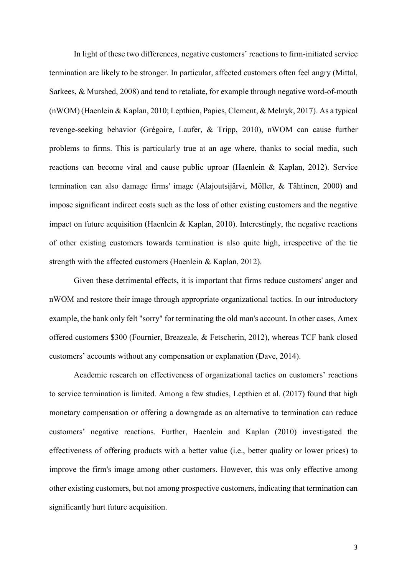In light of these two differences, negative customers' reactions to firm-initiated service termination are likely to be stronger. In particular, affected customers often feel angry (Mittal, Sarkees, & Murshed, 2008) and tend to retaliate, for example through negative word-of-mouth (nWOM) (Haenlein & Kaplan, 2010; Lepthien, Papies, Clement, & Melnyk, 2017). As a typical revenge-seeking behavior (Grégoire, Laufer, & Tripp, 2010), nWOM can cause further problems to firms. This is particularly true at an age where, thanks to social media, such reactions can become viral and cause public uproar (Haenlein & Kaplan, 2012). Service termination can also damage firms' image (Alajoutsijärvi, Möller, & Tähtinen, 2000) and impose significant indirect costs such as the loss of other existing customers and the negative impact on future acquisition (Haenlein & Kaplan, 2010). Interestingly, the negative reactions of other existing customers towards termination is also quite high, irrespective of the tie strength with the affected customers (Haenlein & Kaplan, 2012).

Given these detrimental effects, it is important that firms reduce customers' anger and nWOM and restore their image through appropriate organizational tactics. In our introductory example, the bank only felt "sorry" for terminating the old man's account. In other cases, Amex offered customers \$300 (Fournier, Breazeale, & Fetscherin, 2012), whereas TCF bank closed customers' accounts without any compensation or explanation (Dave, 2014).

Academic research on effectiveness of organizational tactics on customers' reactions to service termination is limited. Among a few studies, Lepthien et al. (2017) found that high monetary compensation or offering a downgrade as an alternative to termination can reduce customers' negative reactions. Further, Haenlein and Kaplan (2010) investigated the effectiveness of offering products with a better value (i.e., better quality or lower prices) to improve the firm's image among other customers. However, this was only effective among other existing customers, but not among prospective customers, indicating that termination can significantly hurt future acquisition.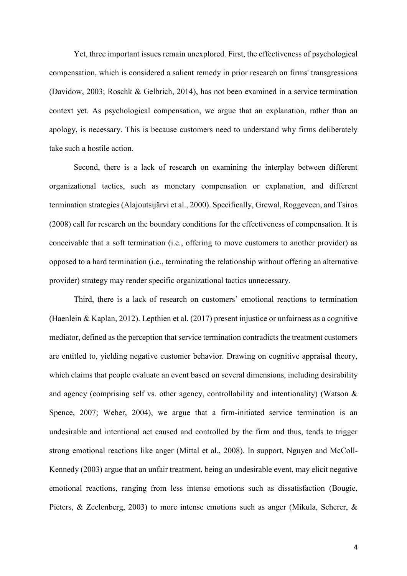Yet, three important issues remain unexplored. First, the effectiveness of psychological compensation, which is considered a salient remedy in prior research on firms' transgressions (Davidow, 2003; Roschk & Gelbrich, 2014), has not been examined in a service termination context yet. As psychological compensation, we argue that an explanation, rather than an apology, is necessary. This is because customers need to understand why firms deliberately take such a hostile action.

Second, there is a lack of research on examining the interplay between different organizational tactics, such as monetary compensation or explanation, and different termination strategies (Alajoutsijärvi et al., 2000). Specifically, Grewal, Roggeveen, and Tsiros (2008) call for research on the boundary conditions for the effectiveness of compensation. It is conceivable that a soft termination (i.e., offering to move customers to another provider) as opposed to a hard termination (i.e., terminating the relationship without offering an alternative provider) strategy may render specific organizational tactics unnecessary.

Third, there is a lack of research on customers' emotional reactions to termination (Haenlein & Kaplan, 2012). Lepthien et al. (2017) present injustice or unfairness as a cognitive mediator, defined as the perception that service termination contradicts the treatment customers are entitled to, yielding negative customer behavior. Drawing on cognitive appraisal theory, which claims that people evaluate an event based on several dimensions, including desirability and agency (comprising self vs. other agency, controllability and intentionality) (Watson & Spence, 2007; Weber, 2004), we argue that a firm-initiated service termination is an undesirable and intentional act caused and controlled by the firm and thus, tends to trigger strong emotional reactions like anger (Mittal et al., 2008). In support, Nguyen and McColl-Kennedy (2003) argue that an unfair treatment, being an undesirable event, may elicit negative emotional reactions, ranging from less intense emotions such as dissatisfaction (Bougie, Pieters, & Zeelenberg, 2003) to more intense emotions such as anger (Mikula, Scherer, &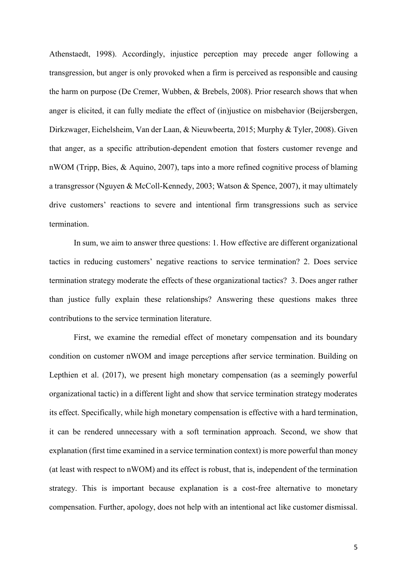Athenstaedt, 1998). Accordingly, injustice perception may precede anger following a transgression, but anger is only provoked when a firm is perceived as responsible and causing the harm on purpose (De Cremer, Wubben, & Brebels, 2008). Prior research shows that when anger is elicited, it can fully mediate the effect of (in)justice on misbehavior (Beijersbergen, Dirkzwager, Eichelsheim, Van der Laan, & Nieuwbeerta, 2015; Murphy & Tyler, 2008). Given that anger, as a specific attribution-dependent emotion that fosters customer revenge and nWOM (Tripp, Bies, & Aquino, 2007), taps into a more refined cognitive process of blaming a transgressor (Nguyen & McColl-Kennedy, 2003; Watson & Spence, 2007), it may ultimately drive customers' reactions to severe and intentional firm transgressions such as service termination.

In sum, we aim to answer three questions: 1. How effective are different organizational tactics in reducing customers' negative reactions to service termination? 2. Does service termination strategy moderate the effects of these organizational tactics? 3. Does anger rather than justice fully explain these relationships? Answering these questions makes three contributions to the service termination literature.

First, we examine the remedial effect of monetary compensation and its boundary condition on customer nWOM and image perceptions after service termination. Building on Lepthien et al. (2017), we present high monetary compensation (as a seemingly powerful organizational tactic) in a different light and show that service termination strategy moderates its effect. Specifically, while high monetary compensation is effective with a hard termination, it can be rendered unnecessary with a soft termination approach. Second, we show that explanation (first time examined in a service termination context) is more powerful than money (at least with respect to nWOM) and its effect is robust, that is, independent of the termination strategy. This is important because explanation is a cost-free alternative to monetary compensation. Further, apology, does not help with an intentional act like customer dismissal.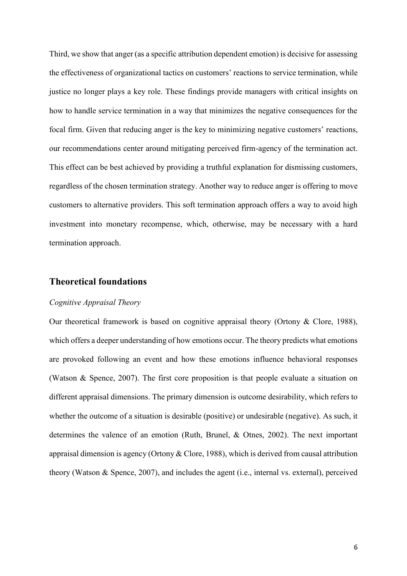Third, we show that anger (as a specific attribution dependent emotion) is decisive for assessing the effectiveness of organizational tactics on customers' reactions to service termination, while justice no longer plays a key role. These findings provide managers with critical insights on how to handle service termination in a way that minimizes the negative consequences for the focal firm. Given that reducing anger is the key to minimizing negative customers' reactions, our recommendations center around mitigating perceived firm-agency of the termination act. This effect can be best achieved by providing a truthful explanation for dismissing customers, regardless of the chosen termination strategy. Another way to reduce anger is offering to move customers to alternative providers. This soft termination approach offers a way to avoid high investment into monetary recompense, which, otherwise, may be necessary with a hard termination approach.

# **Theoretical foundations**

#### *Cognitive Appraisal Theory*

Our theoretical framework is based on cognitive appraisal theory (Ortony & Clore, 1988), which offers a deeper understanding of how emotions occur. The theory predicts what emotions are provoked following an event and how these emotions influence behavioral responses (Watson & Spence, 2007). The first core proposition is that people evaluate a situation on different appraisal dimensions. The primary dimension is outcome desirability, which refers to whether the outcome of a situation is desirable (positive) or undesirable (negative). As such, it determines the valence of an emotion (Ruth, Brunel, & Otnes, 2002). The next important appraisal dimension is agency (Ortony & Clore, 1988), which is derived from causal attribution theory (Watson & Spence, 2007), and includes the agent (i.e., internal vs. external), perceived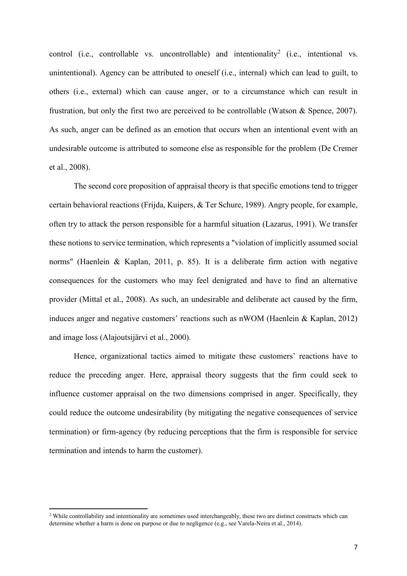control (i.e., controllable vs. uncontrollable) and intentionality<sup>2</sup> (i.e., intentional vs. unintentional). Agency can be attributed to oneself (i.e., internal) which can lead to guilt, to others (i.e., external) which can cause anger, or to a circumstance which can result in frustration, but only the first two are perceived to be controllable (Watson  $\&$  Spence, 2007). As such, anger can be defined as an emotion that occurs when an intentional event with an undesirable outcome is attributed to someone else as responsible for the problem (De Cremer et al., 2008).

The second core proposition of appraisal theory is that specific emotions tend to trigger certain behavioral reactions (Frijda, Kuipers, & Ter Schure, 1989). Angry people, for example, often try to attack the person responsible for a harmful situation (Lazarus, 1991). We transfer these notions to service termination, which represents a "violation of implicitly assumed social norms" (Haenlein & Kaplan, 2011, p. 85). It is a deliberate firm action with negative consequences for the customers who may feel denigrated and have to find an alternative provider (Mittal et al., 2008). As such, an undesirable and deliberate act caused by the firm, induces anger and negative customers' reactions such as nWOM (Haenlein & Kaplan, 2012) and image loss (Alajoutsijärvi et al., 2000).

Hence, organizational tactics aimed to mitigate these customers' reactions have to reduce the preceding anger. Here, appraisal theory suggests that the firm could seek to influence customer appraisal on the two dimensions comprised in anger. Specifically, they could reduce the outcome undesirability (by mitigating the negative consequences of service termination) or firm-agency (by reducing perceptions that the firm is responsible for service termination and intends to harm the customer).

**.** 

<sup>&</sup>lt;sup>2</sup> While controllability and intentionality are sometimes used interchangeably, these two are distinct constructs which can determine whether a harm is done on purpose or due to negligence (e.g., see Varela-Neira et al., 2014).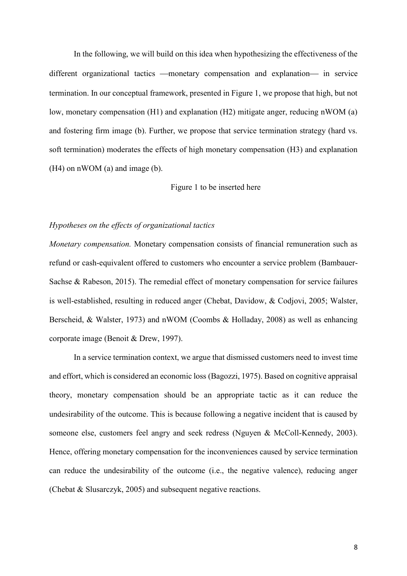In the following, we will build on this idea when hypothesizing the effectiveness of the different organizational tactics - monetary compensation and explanation in service termination. In our conceptual framework, presented in Figure 1, we propose that high, but not low, monetary compensation (H1) and explanation (H2) mitigate anger, reducing nWOM (a) and fostering firm image (b). Further, we propose that service termination strategy (hard vs. soft termination) moderates the effects of high monetary compensation (H3) and explanation (H4) on nWOM (a) and image (b).

#### Figure 1 to be inserted here

#### *Hypotheses on the effects of organizational tactics*

*Monetary compensation.* Monetary compensation consists of financial remuneration such as refund or cash-equivalent offered to customers who encounter a service problem (Bambauer-Sachse & Rabeson, 2015). The remedial effect of monetary compensation for service failures is well-established, resulting in reduced anger (Chebat, Davidow, & Codjovi, 2005; Walster, Berscheid, & Walster, 1973) and nWOM (Coombs & Holladay, 2008) as well as enhancing corporate image (Benoit & Drew, 1997).

In a service termination context, we argue that dismissed customers need to invest time and effort, which is considered an economic loss (Bagozzi, 1975). Based on cognitive appraisal theory, monetary compensation should be an appropriate tactic as it can reduce the undesirability of the outcome. This is because following a negative incident that is caused by someone else, customers feel angry and seek redress (Nguyen & McColl-Kennedy, 2003). Hence, offering monetary compensation for the inconveniences caused by service termination can reduce the undesirability of the outcome (i.e., the negative valence), reducing anger (Chebat & Slusarczyk, 2005) and subsequent negative reactions.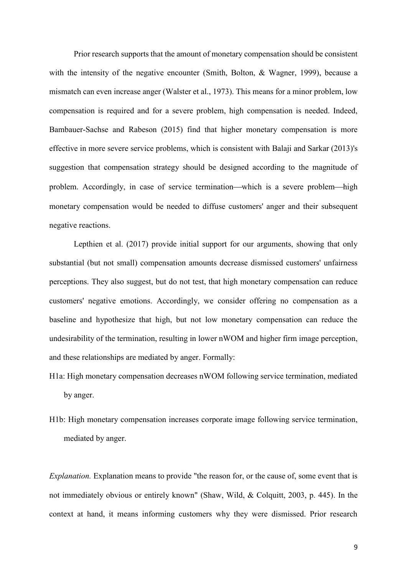Prior research supports that the amount of monetary compensation should be consistent with the intensity of the negative encounter (Smith, Bolton, & Wagner, 1999), because a mismatch can even increase anger (Walster et al., 1973). This means for a minor problem, low compensation is required and for a severe problem, high compensation is needed. Indeed, Bambauer-Sachse and Rabeson (2015) find that higher monetary compensation is more effective in more severe service problems, which is consistent with Balaji and Sarkar (2013)'s suggestion that compensation strategy should be designed according to the magnitude of problem. Accordingly, in case of service termination—which is a severe problem—high monetary compensation would be needed to diffuse customers' anger and their subsequent negative reactions.

Lepthien et al. (2017) provide initial support for our arguments, showing that only substantial (but not small) compensation amounts decrease dismissed customers' unfairness perceptions. They also suggest, but do not test, that high monetary compensation can reduce customers' negative emotions. Accordingly, we consider offering no compensation as a baseline and hypothesize that high, but not low monetary compensation can reduce the undesirability of the termination, resulting in lower nWOM and higher firm image perception, and these relationships are mediated by anger. Formally:

- H1a: High monetary compensation decreases nWOM following service termination, mediated by anger.
- H1b: High monetary compensation increases corporate image following service termination, mediated by anger.

*Explanation.* Explanation means to provide "the reason for, or the cause of, some event that is not immediately obvious or entirely known" (Shaw, Wild, & Colquitt, 2003, p. 445). In the context at hand, it means informing customers why they were dismissed. Prior research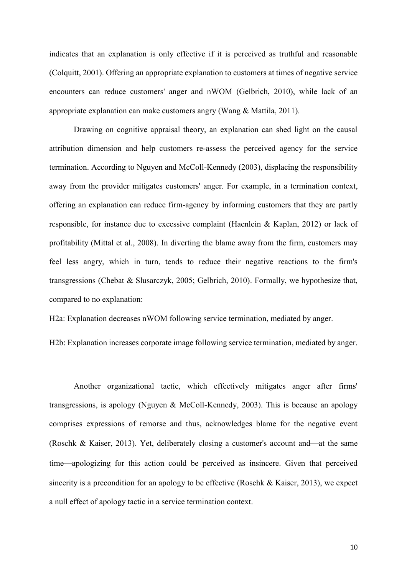indicates that an explanation is only effective if it is perceived as truthful and reasonable (Colquitt, 2001). Offering an appropriate explanation to customers at times of negative service encounters can reduce customers' anger and nWOM (Gelbrich, 2010), while lack of an appropriate explanation can make customers angry (Wang & Mattila, 2011).

Drawing on cognitive appraisal theory, an explanation can shed light on the causal attribution dimension and help customers re-assess the perceived agency for the service termination. According to Nguyen and McColl-Kennedy (2003), displacing the responsibility away from the provider mitigates customers' anger. For example, in a termination context, offering an explanation can reduce firm-agency by informing customers that they are partly responsible, for instance due to excessive complaint (Haenlein & Kaplan, 2012) or lack of profitability (Mittal et al., 2008). In diverting the blame away from the firm, customers may feel less angry, which in turn, tends to reduce their negative reactions to the firm's transgressions (Chebat & Slusarczyk, 2005; Gelbrich, 2010). Formally, we hypothesize that, compared to no explanation:

H2a: Explanation decreases nWOM following service termination, mediated by anger.

H2b: Explanation increases corporate image following service termination, mediated by anger.

Another organizational tactic, which effectively mitigates anger after firms' transgressions, is apology (Nguyen & McColl-Kennedy, 2003). This is because an apology comprises expressions of remorse and thus, acknowledges blame for the negative event (Roschk & Kaiser, 2013). Yet, deliberately closing a customer's account and—at the same time—apologizing for this action could be perceived as insincere. Given that perceived sincerity is a precondition for an apology to be effective (Roschk & Kaiser, 2013), we expect a null effect of apology tactic in a service termination context.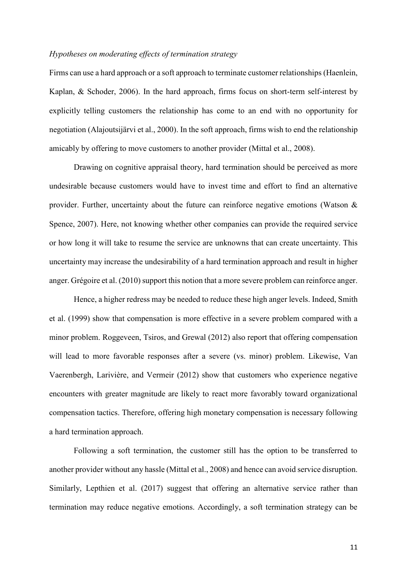#### *Hypotheses on moderating effects of termination strategy*

Firms can use a hard approach or a soft approach to terminate customer relationships (Haenlein, Kaplan, & Schoder, 2006). In the hard approach, firms focus on short-term self-interest by explicitly telling customers the relationship has come to an end with no opportunity for negotiation (Alajoutsijärvi et al., 2000). In the soft approach, firms wish to end the relationship amicably by offering to move customers to another provider (Mittal et al., 2008).

Drawing on cognitive appraisal theory, hard termination should be perceived as more undesirable because customers would have to invest time and effort to find an alternative provider. Further, uncertainty about the future can reinforce negative emotions (Watson & Spence, 2007). Here, not knowing whether other companies can provide the required service or how long it will take to resume the service are unknowns that can create uncertainty. This uncertainty may increase the undesirability of a hard termination approach and result in higher anger. Grégoire et al. (2010) support this notion that a more severe problem can reinforce anger.

Hence, a higher redress may be needed to reduce these high anger levels. Indeed, Smith et al. (1999) show that compensation is more effective in a severe problem compared with a minor problem. Roggeveen, Tsiros, and Grewal (2012) also report that offering compensation will lead to more favorable responses after a severe (vs. minor) problem. Likewise, Van Vaerenbergh, Larivière, and Vermeir (2012) show that customers who experience negative encounters with greater magnitude are likely to react more favorably toward organizational compensation tactics. Therefore, offering high monetary compensation is necessary following a hard termination approach.

Following a soft termination, the customer still has the option to be transferred to another provider without any hassle (Mittal et al., 2008) and hence can avoid service disruption. Similarly, Lepthien et al. (2017) suggest that offering an alternative service rather than termination may reduce negative emotions. Accordingly, a soft termination strategy can be

11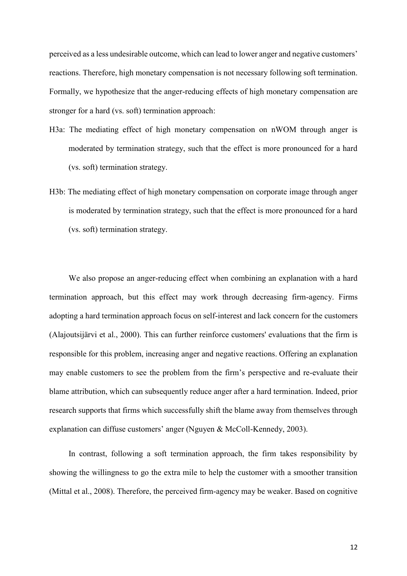perceived as a less undesirable outcome, which can lead to lower anger and negative customers' reactions. Therefore, high monetary compensation is not necessary following soft termination. Formally, we hypothesize that the anger-reducing effects of high monetary compensation are stronger for a hard (vs. soft) termination approach:

- H3a: The mediating effect of high monetary compensation on nWOM through anger is moderated by termination strategy, such that the effect is more pronounced for a hard (vs. soft) termination strategy.
- H3b: The mediating effect of high monetary compensation on corporate image through anger is moderated by termination strategy, such that the effect is more pronounced for a hard (vs. soft) termination strategy.

We also propose an anger-reducing effect when combining an explanation with a hard termination approach, but this effect may work through decreasing firm-agency. Firms adopting a hard termination approach focus on self-interest and lack concern for the customers (Alajoutsijärvi et al., 2000). This can further reinforce customers' evaluations that the firm is responsible for this problem, increasing anger and negative reactions. Offering an explanation may enable customers to see the problem from the firm's perspective and re-evaluate their blame attribution, which can subsequently reduce anger after a hard termination. Indeed, prior research supports that firms which successfully shift the blame away from themselves through explanation can diffuse customers' anger (Nguyen & McColl-Kennedy, 2003).

In contrast, following a soft termination approach, the firm takes responsibility by showing the willingness to go the extra mile to help the customer with a smoother transition (Mittal et al., 2008). Therefore, the perceived firm-agency may be weaker. Based on cognitive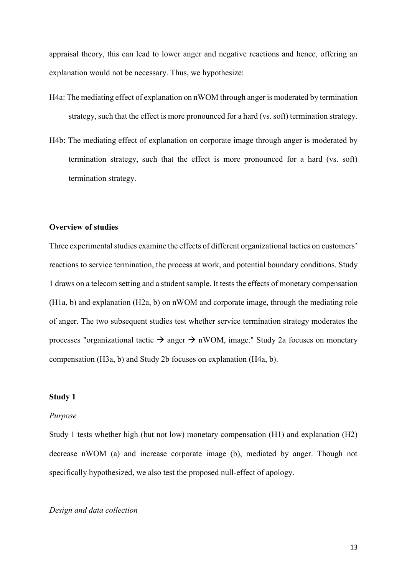appraisal theory, this can lead to lower anger and negative reactions and hence, offering an explanation would not be necessary. Thus, we hypothesize:

- H4a: The mediating effect of explanation on nWOM through anger is moderated by termination strategy, such that the effect is more pronounced for a hard (vs. soft) termination strategy.
- H4b: The mediating effect of explanation on corporate image through anger is moderated by termination strategy, such that the effect is more pronounced for a hard (vs. soft) termination strategy.

#### **Overview of studies**

Three experimental studies examine the effects of different organizational tactics on customers' reactions to service termination, the process at work, and potential boundary conditions. Study 1 draws on a telecom setting and a student sample. It tests the effects of monetary compensation (H1a, b) and explanation (H2a, b) on nWOM and corporate image, through the mediating role of anger. The two subsequent studies test whether service termination strategy moderates the processes "organizational tactic  $\rightarrow$  anger  $\rightarrow$  nWOM, image." Study 2a focuses on monetary compensation (H3a, b) and Study 2b focuses on explanation (H4a, b).

#### **Study 1**

#### *Purpose*

Study 1 tests whether high (but not low) monetary compensation (H1) and explanation (H2) decrease nWOM (a) and increase corporate image (b), mediated by anger. Though not specifically hypothesized, we also test the proposed null-effect of apology.

#### *Design and data collection*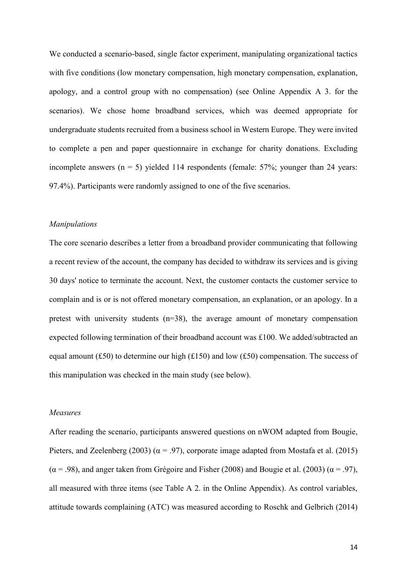We conducted a scenario-based, single factor experiment, manipulating organizational tactics with five conditions (low monetary compensation, high monetary compensation, explanation, apology, and a control group with no compensation) (see Online Appendix A 3. for the scenarios). We chose home broadband services, which was deemed appropriate for undergraduate students recruited from a business school in Western Europe. They were invited to complete a pen and paper questionnaire in exchange for charity donations. Excluding incomplete answers ( $n = 5$ ) yielded 114 respondents (female: 57%; younger than 24 years: 97.4%). Participants were randomly assigned to one of the five scenarios.

#### *Manipulations*

The core scenario describes a letter from a broadband provider communicating that following a recent review of the account, the company has decided to withdraw its services and is giving 30 days' notice to terminate the account. Next, the customer contacts the customer service to complain and is or is not offered monetary compensation, an explanation, or an apology. In a pretest with university students (n=38), the average amount of monetary compensation expected following termination of their broadband account was £100. We added/subtracted an equal amount (£50) to determine our high ( $£150$ ) and low (£50) compensation. The success of this manipulation was checked in the main study (see below).

#### *Measures*

After reading the scenario, participants answered questions on nWOM adapted from Bougie, Pieters, and Zeelenberg (2003) ( $\alpha$  = .97), corporate image adapted from Mostafa et al. (2015)  $(\alpha = .98)$ , and anger taken from Grégoire and Fisher (2008) and Bougie et al. (2003) ( $\alpha = .97$ ), all measured with three items (see Table A 2. in the Online Appendix). As control variables, attitude towards complaining (ATC) was measured according to Roschk and Gelbrich (2014)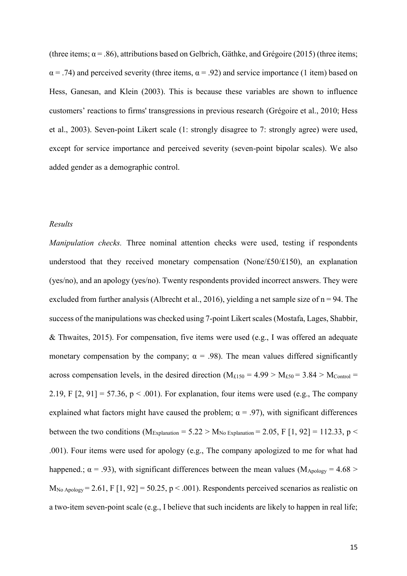(three items;  $\alpha$  = .86), attributions based on Gelbrich, Gäthke, and Grégoire (2015) (three items;  $\alpha$  = .74) and perceived severity (three items,  $\alpha$  = .92) and service importance (1 item) based on Hess, Ganesan, and Klein (2003). This is because these variables are shown to influence customers' reactions to firms' transgressions in previous research (Grégoire et al., 2010; Hess et al., 2003). Seven-point Likert scale (1: strongly disagree to 7: strongly agree) were used, except for service importance and perceived severity (seven-point bipolar scales). We also added gender as a demographic control.

#### *Results*

*Manipulation checks.* Three nominal attention checks were used, testing if respondents understood that they received monetary compensation (None/ $£50/£150$ ), an explanation (yes/no), and an apology (yes/no). Twenty respondents provided incorrect answers. They were excluded from further analysis (Albrecht et al., 2016), yielding a net sample size of  $n = 94$ . The success of the manipulations was checked using 7-point Likert scales (Mostafa, Lages, Shabbir, & Thwaites, 2015). For compensation, five items were used (e.g., I was offered an adequate monetary compensation by the company;  $\alpha = .98$ ). The mean values differed significantly across compensation levels, in the desired direction ( $M_{\text{£150}} = 4.99 > M_{\text{£50}} = 3.84 > M_{\text{Control}} =$ 2.19, F  $[2, 91] = 57.36$ ,  $p < .001$ ). For explanation, four items were used (e.g., The company explained what factors might have caused the problem;  $\alpha = .97$ ), with significant differences between the two conditions ( $M_{Explanation} = 5.22 > M_{No\ Explanation} = 2.05$ , F [1, 92] = 112.33, p < .001). Four items were used for apology (e.g., The company apologized to me for what had happened.;  $\alpha$  = .93), with significant differences between the mean values (M<sub>Apology</sub> = 4.68 >  $M_{No\,Apology} = 2.61$ , F [1, 92] = 50.25, p < .001). Respondents perceived scenarios as realistic on a two-item seven-point scale (e.g., I believe that such incidents are likely to happen in real life;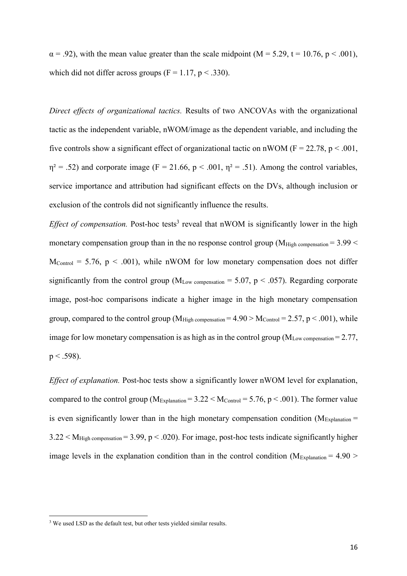$\alpha$  = .92), with the mean value greater than the scale midpoint (M = 5.29, t = 10.76, p < .001). which did not differ across groups  $(F = 1.17, p < .330)$ .

*Direct effects of organizational tactics.* Results of two ANCOVAs with the organizational tactic as the independent variable, nWOM/image as the dependent variable, and including the five controls show a significant effect of organizational tactic on nWOM ( $F = 22.78$ ,  $p < .001$ ,  $\eta^2$  = .52) and corporate image (F = 21.66, p < .001,  $\eta^2$  = .51). Among the control variables, service importance and attribution had significant effects on the DVs, although inclusion or exclusion of the controls did not significantly influence the results.

*Effect of compensation*. Post-hoc tests<sup>3</sup> reveal that nWOM is significantly lower in the high monetary compensation group than in the no response control group ( $M_{High\; compensation} = 3.99 <$  $M_{\text{Control}} = 5.76$ ,  $p \le 0.001$ ), while nWOM for low monetary compensation does not differ significantly from the control group ( $M_{Low\; compensation} = 5.07$ ,  $p < .057$ ). Regarding corporate image, post-hoc comparisons indicate a higher image in the high monetary compensation group, compared to the control group (M<sub>High compensation</sub>  $= 4.90 > M_{\text{Control}} = 2.57$ , p  $< .001$ ), while image for low monetary compensation is as high as in the control group ( $M_{Low\ compensation} = 2.77$ ,  $p < .598$ ).

*Effect of explanation.* Post-hoc tests show a significantly lower nWOM level for explanation, compared to the control group ( $M_{Explanation} = 3.22 \leq M_{Control} = 5.76$ , p  $\leq .001$ ). The former value is even significantly lower than in the high monetary compensation condition ( $M_{Explanation}$  =  $3.22 < M_{High\; compensation} = 3.99$ ,  $p < .020$ ). For image, post-hoc tests indicate significantly higher image levels in the explanation condition than in the control condition ( $M_{Explanation} = 4.90 >$ 

**.** 

<sup>&</sup>lt;sup>3</sup> We used LSD as the default test, but other tests yielded similar results.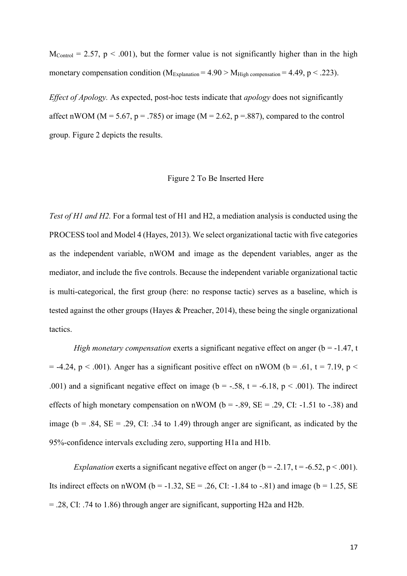$M_{\text{Control}} = 2.57$ ,  $p \le 0.001$ ), but the former value is not significantly higher than in the high monetary compensation condition ( $M_{Explanation} = 4.90 > M_{High\ compensation} = 4.49$ , p < .223).

*Effect of Apology.* As expected, post-hoc tests indicate that *apology* does not significantly affect nWOM ( $M = 5.67$ ,  $p = .785$ ) or image ( $M = 2.62$ ,  $p = .887$ ), compared to the control group. Figure 2 depicts the results.

#### Figure 2 To Be Inserted Here

*Test of H1 and H2.* For a formal test of H1 and H2, a mediation analysis is conducted using the PROCESS tool and Model 4 (Hayes, 2013). We select organizational tactic with five categories as the independent variable, nWOM and image as the dependent variables, anger as the mediator, and include the five controls. Because the independent variable organizational tactic is multi-categorical, the first group (here: no response tactic) serves as a baseline, which is tested against the other groups (Hayes & Preacher, 2014), these being the single organizational tactics.

*High monetary compensation* exerts a significant negative effect on anger (b = -1.47, t)  $= -4.24$ , p  $\lt$  .001). Anger has a significant positive effect on nWOM (b = .61, t = 7.19, p  $\lt$ .001) and a significant negative effect on image ( $b = -.58$ ,  $t = -6.18$ ,  $p < .001$ ). The indirect effects of high monetary compensation on nWOM ( $b = -.89$ ,  $SE = .29$ , CI: -1.51 to -.38) and image ( $b = .84$ ,  $SE = .29$ , CI: .34 to 1.49) through anger are significant, as indicated by the 95%-confidence intervals excluding zero, supporting H1a and H1b.

*Explanation* exerts a significant negative effect on anger ( $b = -2.17$ ,  $t = -6.52$ ,  $p < .001$ ). Its indirect effects on nWOM ( $b = -1.32$ ,  $SE = .26$ , CI:  $-1.84$  to  $-.81$ ) and image ( $b = 1.25$ ,  $SE$ = .28, CI: .74 to 1.86) through anger are significant, supporting H2a and H2b.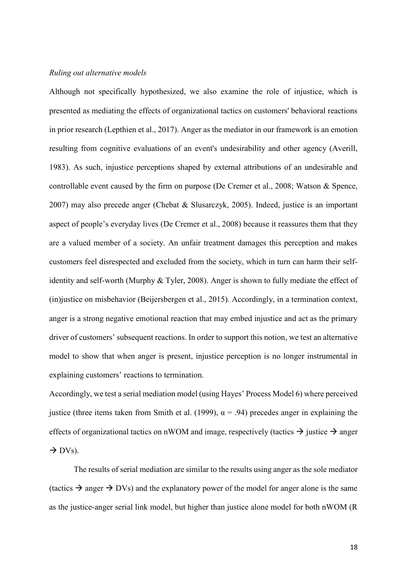#### *Ruling out alternative models*

Although not specifically hypothesized, we also examine the role of injustice, which is presented as mediating the effects of organizational tactics on customers' behavioral reactions in prior research (Lepthien et al., 2017). Anger as the mediator in our framework is an emotion resulting from cognitive evaluations of an event's undesirability and other agency (Averill, 1983). As such, injustice perceptions shaped by external attributions of an undesirable and controllable event caused by the firm on purpose (De Cremer et al., 2008; Watson & Spence, 2007) may also precede anger (Chebat & Slusarczyk, 2005). Indeed, justice is an important aspect of people's everyday lives (De Cremer et al., 2008) because it reassures them that they are a valued member of a society. An unfair treatment damages this perception and makes customers feel disrespected and excluded from the society, which in turn can harm their selfidentity and self-worth (Murphy & Tyler, 2008). Anger is shown to fully mediate the effect of (in)justice on misbehavior (Beijersbergen et al., 2015). Accordingly, in a termination context, anger is a strong negative emotional reaction that may embed injustice and act as the primary driver of customers' subsequent reactions. In order to support this notion, we test an alternative model to show that when anger is present, injustice perception is no longer instrumental in explaining customers' reactions to termination.

Accordingly, we test a serial mediation model (using Hayes' Process Model 6) where perceived justice (three items taken from Smith et al. (1999),  $\alpha$  = .94) precedes anger in explaining the effects of organizational tactics on nWOM and image, respectively (tactics  $\rightarrow$  justice  $\rightarrow$  anger  $\rightarrow$  DVs).

The results of serial mediation are similar to the results using anger as the sole mediator (tactics  $\rightarrow$  anger  $\rightarrow$  DVs) and the explanatory power of the model for anger alone is the same as the justice-anger serial link model, but higher than justice alone model for both nWOM (R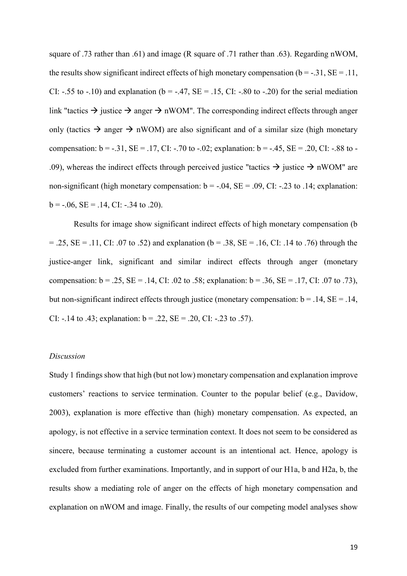square of .73 rather than .61) and image (R square of .71 rather than .63). Regarding nWOM, the results show significant indirect effects of high monetary compensation ( $b = -0.31$ ,  $SE = 0.11$ , CI: -.55 to -.10) and explanation ( $b = -.47$ ,  $SE = .15$ , CI: -.80 to -.20) for the serial mediation link "tactics  $\rightarrow$  justice  $\rightarrow$  anger  $\rightarrow$  nWOM". The corresponding indirect effects through anger only (tactics  $\rightarrow$  anger  $\rightarrow$  nWOM) are also significant and of a similar size (high monetary compensation:  $b = -0.31$ ,  $SE = -0.17$ ,  $CI: -0.70$  to  $-0.02$ ; explanation:  $b = -0.45$ ,  $SE = 0.20$ ,  $CI: -0.88$  to -.09), whereas the indirect effects through perceived justice "tactics  $\rightarrow$  justice  $\rightarrow$  nWOM" are non-significant (high monetary compensation:  $b = -.04$ ,  $SE = .09$ , CI: -.23 to .14; explanation:  $b = -.06$ ,  $SE = .14$ , CI:  $-.34$  to .20).

Results for image show significant indirect effects of high monetary compensation (b  $= .25$ , SE = .11, CI: .07 to .52) and explanation (b = .38, SE = .16, CI: .14 to .76) through the justice-anger link, significant and similar indirect effects through anger (monetary compensation:  $b = .25$ ,  $SE = .14$ , CI: .02 to .58; explanation:  $b = .36$ ,  $SE = .17$ , CI: .07 to .73), but non-significant indirect effects through justice (monetary compensation:  $b = .14$ ,  $SE = .14$ , CI:  $-14$  to .43; explanation:  $b = .22$ ,  $SE = .20$ , CI:  $-0.23$  to .57).

# *Discussion*

Study 1 findings show that high (but not low) monetary compensation and explanation improve customers' reactions to service termination. Counter to the popular belief (e.g., Davidow, 2003), explanation is more effective than (high) monetary compensation. As expected, an apology, is not effective in a service termination context. It does not seem to be considered as sincere, because terminating a customer account is an intentional act. Hence, apology is excluded from further examinations. Importantly, and in support of our H1a, b and H2a, b, the results show a mediating role of anger on the effects of high monetary compensation and explanation on nWOM and image. Finally, the results of our competing model analyses show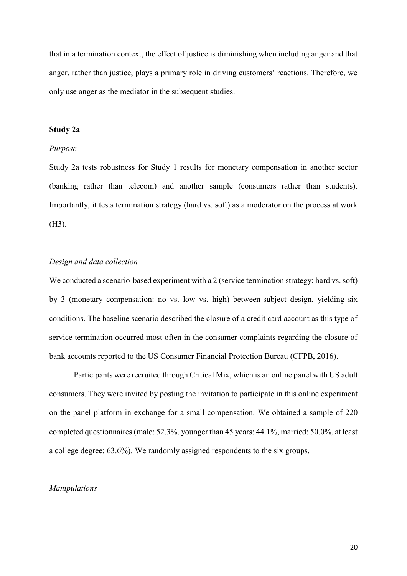that in a termination context, the effect of justice is diminishing when including anger and that anger, rather than justice, plays a primary role in driving customers' reactions. Therefore, we only use anger as the mediator in the subsequent studies.

#### **Study 2a**

#### *Purpose*

Study 2a tests robustness for Study 1 results for monetary compensation in another sector (banking rather than telecom) and another sample (consumers rather than students). Importantly, it tests termination strategy (hard vs. soft) as a moderator on the process at work (H3).

#### *Design and data collection*

We conducted a scenario-based experiment with a 2 (service termination strategy: hard vs. soft) by 3 (monetary compensation: no vs. low vs. high) between-subject design, yielding six conditions. The baseline scenario described the closure of a credit card account as this type of service termination occurred most often in the consumer complaints regarding the closure of bank accounts reported to the US Consumer Financial Protection Bureau (CFPB, 2016).

Participants were recruited through Critical Mix, which is an online panel with US adult consumers. They were invited by posting the invitation to participate in this online experiment on the panel platform in exchange for a small compensation. We obtained a sample of 220 completed questionnaires (male: 52.3%, younger than 45 years: 44.1%, married: 50.0%, at least a college degree: 63.6%). We randomly assigned respondents to the six groups.

#### *Manipulations*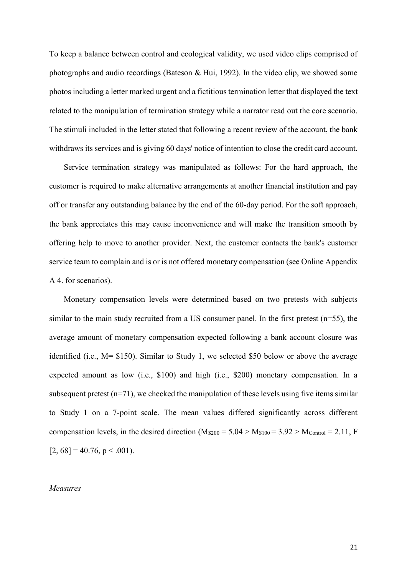To keep a balance between control and ecological validity, we used video clips comprised of photographs and audio recordings (Bateson & Hui, 1992). In the video clip, we showed some photos including a letter marked urgent and a fictitious termination letter that displayed the text related to the manipulation of termination strategy while a narrator read out the core scenario. The stimuli included in the letter stated that following a recent review of the account, the bank withdraws its services and is giving 60 days' notice of intention to close the credit card account.

Service termination strategy was manipulated as follows: For the hard approach, the customer is required to make alternative arrangements at another financial institution and pay off or transfer any outstanding balance by the end of the 60-day period. For the soft approach, the bank appreciates this may cause inconvenience and will make the transition smooth by offering help to move to another provider. Next, the customer contacts the bank's customer service team to complain and is or is not offered monetary compensation (see Online Appendix A 4. for scenarios).

Monetary compensation levels were determined based on two pretests with subjects similar to the main study recruited from a US consumer panel. In the first pretest  $(n=55)$ , the average amount of monetary compensation expected following a bank account closure was identified (i.e., M= \$150). Similar to Study 1, we selected \$50 below or above the average expected amount as low (i.e., \$100) and high (i.e., \$200) monetary compensation. In a subsequent pretest  $(n=71)$ , we checked the manipulation of these levels using five items similar to Study 1 on a 7-point scale. The mean values differed significantly across different compensation levels, in the desired direction ( $M_{\text{S200}} = 5.04 > M_{\text{S100}} = 3.92 > M_{\text{Control}} = 2.11$ , F  $[2, 68] = 40.76$ , p < .001).

#### *Measures*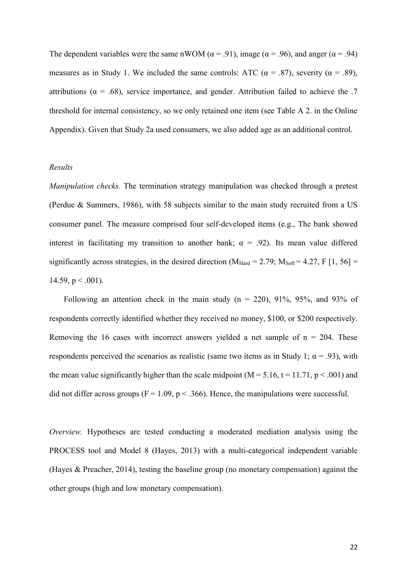The dependent variables were the same nWOM ( $\alpha$  = .91), image ( $\alpha$  = .96), and anger ( $\alpha$  = .94) measures as in Study 1. We included the same controls: ATC ( $\alpha$  = .87), severity ( $\alpha$  = .89), attributions ( $\alpha = .68$ ), service importance, and gender. Attribution failed to achieve the .7 threshold for internal consistency, so we only retained one item (see Table A 2. in the Online Appendix). Given that Study 2a used consumers, we also added age as an additional control.

#### *Results*

*Manipulation checks.* The termination strategy manipulation was checked through a pretest (Perdue & Summers, 1986), with 58 subjects similar to the main study recruited from a US consumer panel. The measure comprised four self-developed items (e.g., The bank showed interest in facilitating my transition to another bank;  $\alpha = .92$ ). Its mean value differed significantly across strategies, in the desired direction ( $M_{Hard} = 2.79$ ;  $M_{Soft} = 4.27$ , F [1, 56] = 14.59,  $p < .001$ ).

Following an attention check in the main study  $(n = 220)$ , 91%, 95%, and 93% of respondents correctly identified whether they received no money, \$100, or \$200 respectively. Removing the 16 cases with incorrect answers yielded a net sample of  $n = 204$ . These respondents perceived the scenarios as realistic (same two items as in Study 1;  $\alpha$  = .93), with the mean value significantly higher than the scale midpoint ( $M = 5.16$ ,  $t = 11.71$ ,  $p < .001$ ) and did not differ across groups ( $F = 1.09$ ,  $p < .366$ ). Hence, the manipulations were successful.

*Overview.* Hypotheses are tested conducting a moderated mediation analysis using the PROCESS tool and Model 8 (Hayes, 2013) with a multi-categorical independent variable (Hayes & Preacher, 2014), testing the baseline group (no monetary compensation) against the other groups (high and low monetary compensation).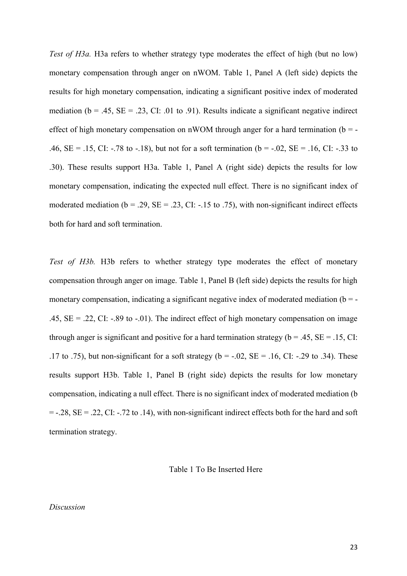*Test of H3a.* H3a refers to whether strategy type moderates the effect of high (but no low) monetary compensation through anger on nWOM. Table 1, Panel A (left side) depicts the results for high monetary compensation, indicating a significant positive index of moderated mediation ( $b = .45$ ,  $SE = .23$ ,  $CI: .01$  to .91). Results indicate a significant negative indirect effect of high monetary compensation on nWOM through anger for a hard termination ( $b = -$ .46,  $SE = .15$ , CI: -.78 to -.18), but not for a soft termination (b = -.02,  $SE = .16$ , CI: -.33 to .30). These results support H3a. Table 1, Panel A (right side) depicts the results for low monetary compensation, indicating the expected null effect. There is no significant index of moderated mediation ( $b = .29$ ,  $SE = .23$ , CI: -.15 to .75), with non-significant indirect effects both for hard and soft termination.

*Test of H3b.* H3b refers to whether strategy type moderates the effect of monetary compensation through anger on image. Table 1, Panel B (left side) depicts the results for high monetary compensation, indicating a significant negative index of moderated mediation  $(b = -1)$ .45,  $SE = .22$ , CI: -.89 to -.01). The indirect effect of high monetary compensation on image through anger is significant and positive for a hard termination strategy ( $b = .45$ ,  $SE = .15$ , CI: .17 to .75), but non-significant for a soft strategy ( $b = -.02$ ,  $SE = .16$ , CI: -.29 to .34). These results support H3b. Table 1, Panel B (right side) depicts the results for low monetary compensation, indicating a null effect. There is no significant index of moderated mediation (b  $= -.28$ , SE  $= .22$ , CI:  $-.72$  to  $.14$ ), with non-significant indirect effects both for the hard and soft termination strategy.

Table 1 To Be Inserted Here

#### *Discussion*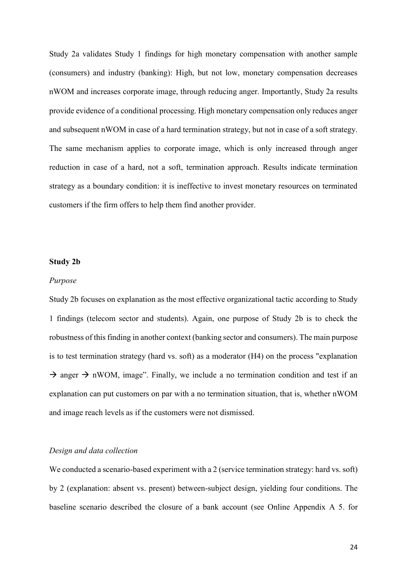Study 2a validates Study 1 findings for high monetary compensation with another sample (consumers) and industry (banking): High, but not low, monetary compensation decreases nWOM and increases corporate image, through reducing anger. Importantly, Study 2a results provide evidence of a conditional processing. High monetary compensation only reduces anger and subsequent nWOM in case of a hard termination strategy, but not in case of a soft strategy. The same mechanism applies to corporate image, which is only increased through anger reduction in case of a hard, not a soft, termination approach. Results indicate termination strategy as a boundary condition: it is ineffective to invest monetary resources on terminated customers if the firm offers to help them find another provider.

#### **Study 2b**

#### *Purpose*

Study 2b focuses on explanation as the most effective organizational tactic according to Study 1 findings (telecom sector and students). Again, one purpose of Study 2b is to check the robustness of this finding in another context (banking sector and consumers). The main purpose is to test termination strategy (hard vs. soft) as a moderator (H4) on the process "explanation  $\rightarrow$  anger  $\rightarrow$  nWOM, image". Finally, we include a no termination condition and test if an explanation can put customers on par with a no termination situation, that is, whether nWOM and image reach levels as if the customers were not dismissed.

#### *Design and data collection*

We conducted a scenario-based experiment with a 2 (service termination strategy: hard vs. soft) by 2 (explanation: absent vs. present) between-subject design, yielding four conditions. The baseline scenario described the closure of a bank account (see Online Appendix A 5. for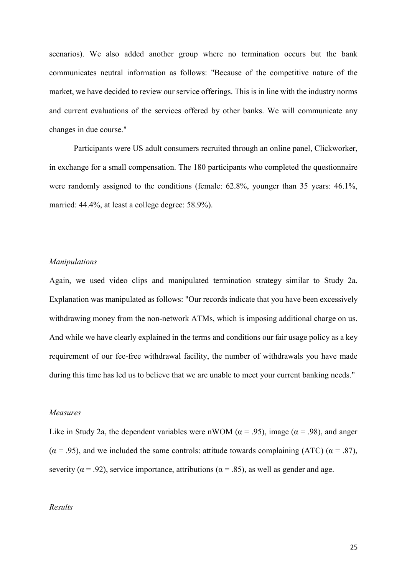scenarios). We also added another group where no termination occurs but the bank communicates neutral information as follows: "Because of the competitive nature of the market, we have decided to review our service offerings. This is in line with the industry norms and current evaluations of the services offered by other banks. We will communicate any changes in due course."

Participants were US adult consumers recruited through an online panel, Clickworker, in exchange for a small compensation. The 180 participants who completed the questionnaire were randomly assigned to the conditions (female: 62.8%, younger than 35 years: 46.1%, married: 44.4%, at least a college degree: 58.9%).

#### *Manipulations*

Again, we used video clips and manipulated termination strategy similar to Study 2a. Explanation was manipulated as follows: "Our records indicate that you have been excessively withdrawing money from the non-network ATMs, which is imposing additional charge on us. And while we have clearly explained in the terms and conditions our fair usage policy as a key requirement of our fee-free withdrawal facility, the number of withdrawals you have made during this time has led us to believe that we are unable to meet your current banking needs."

#### *Measures*

Like in Study 2a, the dependent variables were nWOM ( $\alpha$  = .95), image ( $\alpha$  = .98), and anger  $(\alpha = .95)$ , and we included the same controls: attitude towards complaining (ATC)  $(\alpha = .87)$ , severity ( $\alpha$  = .92), service importance, attributions ( $\alpha$  = .85), as well as gender and age.

# *Results*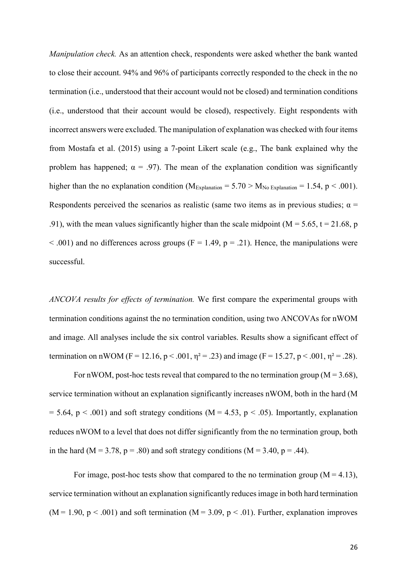*Manipulation check.* As an attention check, respondents were asked whether the bank wanted to close their account. 94% and 96% of participants correctly responded to the check in the no termination (i.e., understood that their account would not be closed) and termination conditions (i.e., understood that their account would be closed), respectively. Eight respondents with incorrect answers were excluded. The manipulation of explanation was checked with four items from Mostafa et al. (2015) using a 7-point Likert scale (e.g., The bank explained why the problem has happened;  $\alpha = .97$ ). The mean of the explanation condition was significantly higher than the no explanation condition ( $M_{Explanation} = 5.70 > M_{No~Explanation} = 1.54$ , p < .001). Respondents perceived the scenarios as realistic (same two items as in previous studies;  $\alpha$  = .91), with the mean values significantly higher than the scale midpoint ( $M = 5.65$ ,  $t = 21.68$ , p  $\leq$  .001) and no differences across groups (F = 1.49, p = .21). Hence, the manipulations were successful.

*ANCOVA results for effects of termination.* We first compare the experimental groups with termination conditions against the no termination condition, using two ANCOVAs for nWOM and image. All analyses include the six control variables. Results show a significant effect of termination on nWOM (F = 12.16, p < .001,  $\eta^2$  = .23) and image (F = 15.27, p < .001,  $\eta^2$  = .28).

For nWOM, post-hoc tests reveal that compared to the no termination group ( $M = 3.68$ ), service termination without an explanation significantly increases nWOM, both in the hard (M  $= 5.64$ ,  $p < .001$ ) and soft strategy conditions (M = 4.53, p < .05). Importantly, explanation reduces nWOM to a level that does not differ significantly from the no termination group, both in the hard ( $M = 3.78$ ,  $p = .80$ ) and soft strategy conditions ( $M = 3.40$ ,  $p = .44$ ).

For image, post-hoc tests show that compared to the no termination group  $(M = 4.13)$ , service termination without an explanation significantly reduces image in both hard termination  $(M = 1.90, p < .001)$  and soft termination  $(M = 3.09, p < .01)$ . Further, explanation improves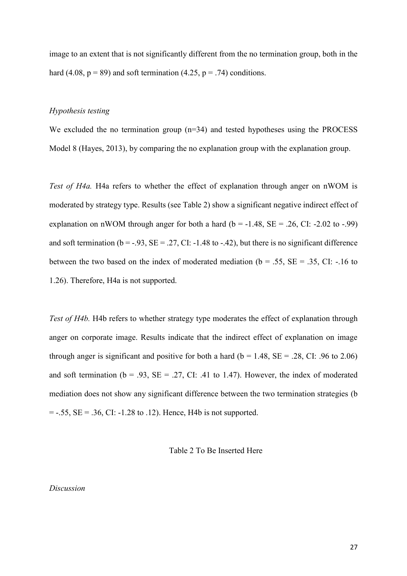image to an extent that is not significantly different from the no termination group, both in the hard (4.08,  $p = 89$ ) and soft termination (4.25,  $p = .74$ ) conditions.

#### *Hypothesis testing*

We excluded the no termination group (n=34) and tested hypotheses using the PROCESS Model 8 (Hayes, 2013), by comparing the no explanation group with the explanation group.

*Test of H4a.* H4a refers to whether the effect of explanation through anger on nWOM is moderated by strategy type. Results (see Table 2) show a significant negative indirect effect of explanation on nWOM through anger for both a hard ( $b = -1.48$ ,  $SE = .26$ , CI:  $-2.02$  to  $-0.99$ ) and soft termination ( $b = -0.93$ ,  $SE = 0.27$ , CI:  $-1.48$  to  $-0.42$ ), but there is no significant difference between the two based on the index of moderated mediation ( $b = .55$ ,  $SE = .35$ , CI: -.16 to 1.26). Therefore, H4a is not supported.

*Test of H4b.* H4b refers to whether strategy type moderates the effect of explanation through anger on corporate image. Results indicate that the indirect effect of explanation on image through anger is significant and positive for both a hard ( $b = 1.48$ ,  $SE = .28$ , CI: .96 to 2.06) and soft termination ( $b = .93$ ,  $SE = .27$ , CI: .41 to 1.47). However, the index of moderated mediation does not show any significant difference between the two termination strategies (b  $= -0.55$ , SE =  $0.36$ , CI:  $-1.28$  to  $0.12$ ). Hence, H4b is not supported.

Table 2 To Be Inserted Here

## *Discussion*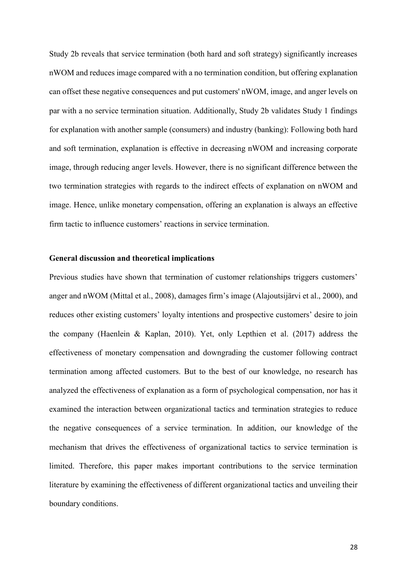Study 2b reveals that service termination (both hard and soft strategy) significantly increases nWOM and reduces image compared with a no termination condition, but offering explanation can offset these negative consequences and put customers' nWOM, image, and anger levels on par with a no service termination situation. Additionally, Study 2b validates Study 1 findings for explanation with another sample (consumers) and industry (banking): Following both hard and soft termination, explanation is effective in decreasing nWOM and increasing corporate image, through reducing anger levels. However, there is no significant difference between the two termination strategies with regards to the indirect effects of explanation on nWOM and image. Hence, unlike monetary compensation, offering an explanation is always an effective firm tactic to influence customers' reactions in service termination.

# **General discussion and theoretical implications**

Previous studies have shown that termination of customer relationships triggers customers' anger and nWOM (Mittal et al., 2008), damages firm's image (Alajoutsijärvi et al., 2000), and reduces other existing customers' loyalty intentions and prospective customers' desire to join the company (Haenlein & Kaplan, 2010). Yet, only Lepthien et al. (2017) address the effectiveness of monetary compensation and downgrading the customer following contract termination among affected customers. But to the best of our knowledge, no research has analyzed the effectiveness of explanation as a form of psychological compensation, nor has it examined the interaction between organizational tactics and termination strategies to reduce the negative consequences of a service termination. In addition, our knowledge of the mechanism that drives the effectiveness of organizational tactics to service termination is limited. Therefore, this paper makes important contributions to the service termination literature by examining the effectiveness of different organizational tactics and unveiling their boundary conditions.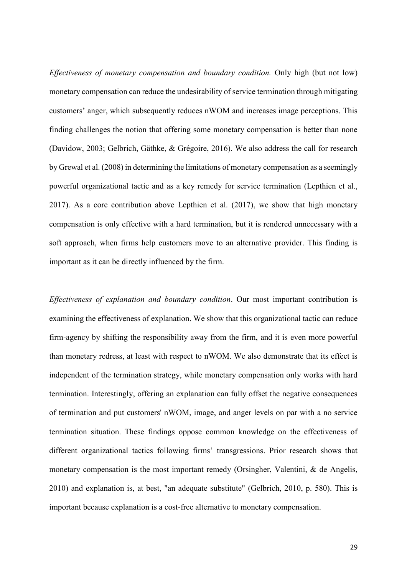*Effectiveness of monetary compensation and boundary condition.* Only high (but not low) monetary compensation can reduce the undesirability of service termination through mitigating customers' anger, which subsequently reduces nWOM and increases image perceptions. This finding challenges the notion that offering some monetary compensation is better than none (Davidow, 2003; Gelbrich, Gäthke, & Grégoire, 2016). We also address the call for research by Grewal et al. (2008) in determining the limitations of monetary compensation as a seemingly powerful organizational tactic and as a key remedy for service termination (Lepthien et al., 2017). As a core contribution above Lepthien et al. (2017), we show that high monetary compensation is only effective with a hard termination, but it is rendered unnecessary with a soft approach, when firms help customers move to an alternative provider. This finding is important as it can be directly influenced by the firm.

*Effectiveness of explanation and boundary condition*. Our most important contribution is examining the effectiveness of explanation. We show that this organizational tactic can reduce firm-agency by shifting the responsibility away from the firm, and it is even more powerful than monetary redress, at least with respect to nWOM. We also demonstrate that its effect is independent of the termination strategy, while monetary compensation only works with hard termination. Interestingly, offering an explanation can fully offset the negative consequences of termination and put customers' nWOM, image, and anger levels on par with a no service termination situation. These findings oppose common knowledge on the effectiveness of different organizational tactics following firms' transgressions. Prior research shows that monetary compensation is the most important remedy (Orsingher, Valentini, & de Angelis, 2010) and explanation is, at best, "an adequate substitute" (Gelbrich, 2010, p. 580). This is important because explanation is a cost-free alternative to monetary compensation.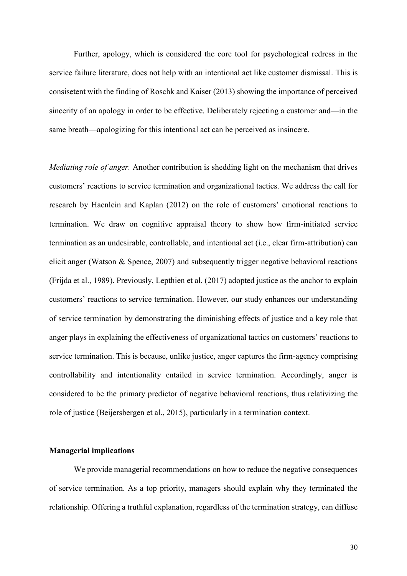Further, apology, which is considered the core tool for psychological redress in the service failure literature, does not help with an intentional act like customer dismissal. This is consisetent with the finding of Roschk and Kaiser (2013) showing the importance of perceived sincerity of an apology in order to be effective. Deliberately rejecting a customer and—in the same breath—apologizing for this intentional act can be perceived as insincere.

*Mediating role of anger.* Another contribution is shedding light on the mechanism that drives customers' reactions to service termination and organizational tactics. We address the call for research by Haenlein and Kaplan (2012) on the role of customers' emotional reactions to termination. We draw on cognitive appraisal theory to show how firm-initiated service termination as an undesirable, controllable, and intentional act (i.e., clear firm-attribution) can elicit anger (Watson & Spence, 2007) and subsequently trigger negative behavioral reactions (Frijda et al., 1989). Previously, Lepthien et al. (2017) adopted justice as the anchor to explain customers' reactions to service termination. However, our study enhances our understanding of service termination by demonstrating the diminishing effects of justice and a key role that anger plays in explaining the effectiveness of organizational tactics on customers' reactions to service termination. This is because, unlike justice, anger captures the firm-agency comprising controllability and intentionality entailed in service termination. Accordingly, anger is considered to be the primary predictor of negative behavioral reactions, thus relativizing the role of justice (Beijersbergen et al., 2015), particularly in a termination context.

## **Managerial implications**

We provide managerial recommendations on how to reduce the negative consequences of service termination. As a top priority, managers should explain why they terminated the relationship. Offering a truthful explanation, regardless of the termination strategy, can diffuse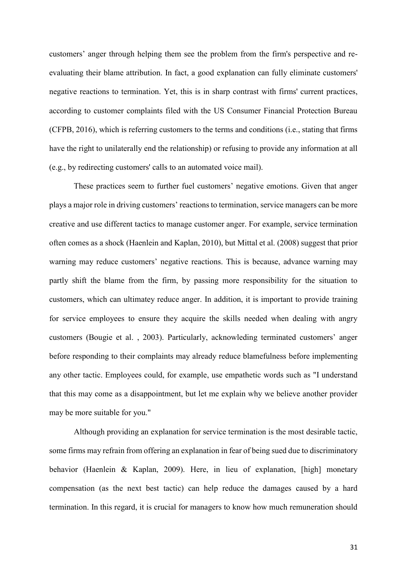customers' anger through helping them see the problem from the firm's perspective and reevaluating their blame attribution. In fact, a good explanation can fully eliminate customers' negative reactions to termination. Yet, this is in sharp contrast with firms' current practices, according to customer complaints filed with the US Consumer Financial Protection Bureau (CFPB, 2016), which is referring customers to the terms and conditions (i.e., stating that firms have the right to unilaterally end the relationship) or refusing to provide any information at all (e.g., by redirecting customers' calls to an automated voice mail).

These practices seem to further fuel customers' negative emotions. Given that anger plays a major role in driving customers' reactions to termination, service managers can be more creative and use different tactics to manage customer anger. For example, service termination often comes as a shock (Haenlein and Kaplan, 2010), but Mittal et al. (2008) suggest that prior warning may reduce customers' negative reactions. This is because, advance warning may partly shift the blame from the firm, by passing more responsibility for the situation to customers, which can ultimatey reduce anger. In addition, it is important to provide training for service employees to ensure they acquire the skills needed when dealing with angry customers (Bougie et al. , 2003). Particularly, acknowleding terminated customers' anger before responding to their complaints may already reduce blamefulness before implementing any other tactic. Employees could, for example, use empathetic words such as "I understand that this may come as a disappointment, but let me explain why we believe another provider may be more suitable for you."

Although providing an explanation for service termination is the most desirable tactic, some firms may refrain from offering an explanation in fear of being sued due to discriminatory behavior (Haenlein & Kaplan, 2009). Here, in lieu of explanation, [high] monetary compensation (as the next best tactic) can help reduce the damages caused by a hard termination. In this regard, it is crucial for managers to know how much remuneration should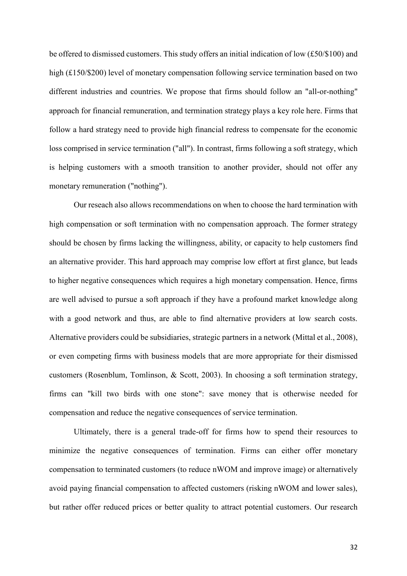be offered to dismissed customers. This study offers an initial indication of low (£50/\$100) and high (£150/\$200) level of monetary compensation following service termination based on two different industries and countries. We propose that firms should follow an "all-or-nothing" approach for financial remuneration, and termination strategy plays a key role here. Firms that follow a hard strategy need to provide high financial redress to compensate for the economic loss comprised in service termination ("all"). In contrast, firms following a soft strategy, which is helping customers with a smooth transition to another provider, should not offer any monetary remuneration ("nothing").

Our reseach also allows recommendations on when to choose the hard termination with high compensation or soft termination with no compensation approach. The former strategy should be chosen by firms lacking the willingness, ability, or capacity to help customers find an alternative provider. This hard approach may comprise low effort at first glance, but leads to higher negative consequences which requires a high monetary compensation. Hence, firms are well advised to pursue a soft approach if they have a profound market knowledge along with a good network and thus, are able to find alternative providers at low search costs. Alternative providers could be subsidiaries, strategic partners in a network (Mittal et al., 2008), or even competing firms with business models that are more appropriate for their dismissed customers (Rosenblum, Tomlinson, & Scott, 2003). In choosing a soft termination strategy, firms can "kill two birds with one stone": save money that is otherwise needed for compensation and reduce the negative consequences of service termination.

Ultimately, there is a general trade-off for firms how to spend their resources to minimize the negative consequences of termination. Firms can either offer monetary compensation to terminated customers (to reduce nWOM and improve image) or alternatively avoid paying financial compensation to affected customers (risking nWOM and lower sales), but rather offer reduced prices or better quality to attract potential customers. Our research

32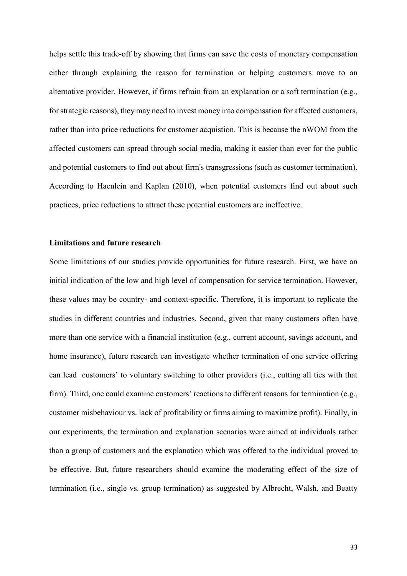helps settle this trade-off by showing that firms can save the costs of monetary compensation either through explaining the reason for termination or helping customers move to an alternative provider. However, if firms refrain from an explanation or a soft termination (e.g., for strategic reasons), they may need to invest money into compensation for affected customers, rather than into price reductions for customer acquistion. This is because the nWOM from the affected customers can spread through social media, making it easier than ever for the public and potential customers to find out about firm's transgressions (such as customer termination). According to Haenlein and Kaplan (2010), when potential customers find out about such practices, price reductions to attract these potential customers are ineffective.

## **Limitations and future research**

Some limitations of our studies provide opportunities for future research. First, we have an initial indication of the low and high level of compensation for service termination. However, these values may be country- and context-specific. Therefore, it is important to replicate the studies in different countries and industries. Second, given that many customers often have more than one service with a financial institution (e.g., current account, savings account, and home insurance), future research can investigate whether termination of one service offering can lead customers' to voluntary switching to other providers (i.e., cutting all ties with that firm). Third, one could examine customers' reactions to different reasons for termination (e.g., customer misbehaviour vs. lack of profitability or firms aiming to maximize profit). Finally, in our experiments, the termination and explanation scenarios were aimed at individuals rather than a group of customers and the explanation which was offered to the individual proved to be effective. But, future researchers should examine the moderating effect of the size of termination (i.e., single vs. group termination) as suggested by Albrecht, Walsh, and Beatty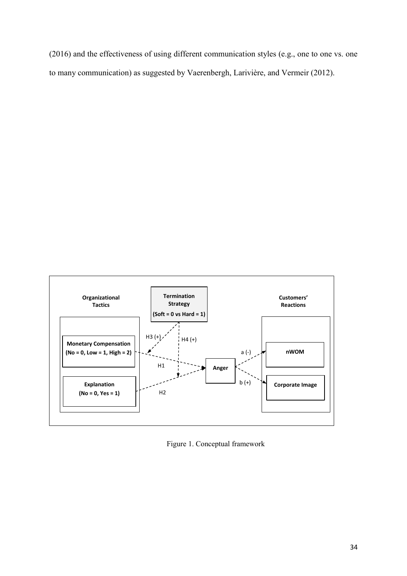(2016) and the effectiveness of using different communication styles (e.g., one to one vs. one to many communication) as suggested by Vaerenbergh, Larivière, and Vermeir (2012).



Figure 1. Conceptual framework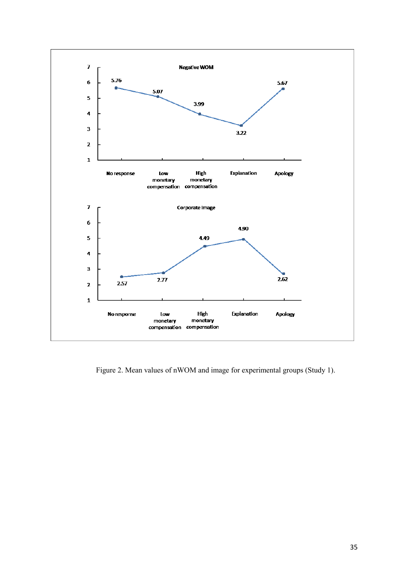

Figure 2. Mean values of nWOM and image for experimental groups (Study 1).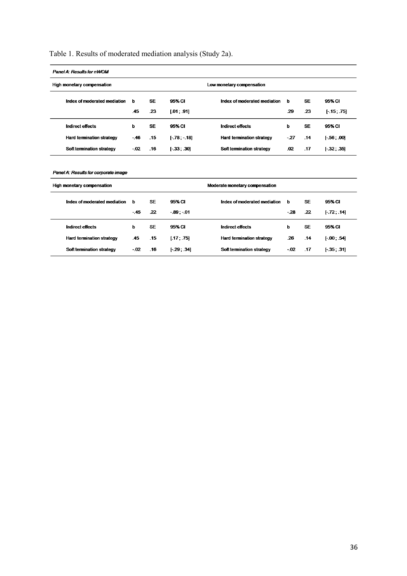# Table 1. Results of moderated mediation analysis (Study 2a).

| Panel A: Results for nWOM                                    |       |           |              |                              |       |           |               |
|--------------------------------------------------------------|-------|-----------|--------------|------------------------------|-------|-----------|---------------|
| High monetary compensation<br>Low monetary compensation      |       |           |              |                              |       |           |               |
| Index of moderated mediation                                 | b     | <b>SE</b> | 95% CI       | Index of moderated mediation | ь     | <b>SE</b> | 95% CI        |
|                                                              | .45   | .23       | [.01; .91]   |                              | .29   | .23       | $[-15, 75]$   |
| <b>Indirect effects</b>                                      | Þ     | <b>SE</b> | 95% CI       | <b>Indirect effects</b>      | ь     | <b>SE</b> | 95% CI        |
| <b>Hard termination strategy</b>                             | $-46$ | .15       | $[-78,-18]$  | Hard termination strategy    | $-27$ | .14       | $[-.56, .00]$ |
| Soft termination strategy                                    | -.02  | .16       | $[-33, .30]$ | Soft termination strategy    | .02   | .17       | $[-32, .35]$  |
|                                                              |       |           |              |                              |       |           |               |
| Panel A: Results for corporate image                         |       |           |              |                              |       |           |               |
| High monetary compensation<br>Moderate monetary compensation |       |           |              |                              |       |           |               |
| Index of moderated mediation                                 | b     | <b>SE</b> | 95% CI       | Index of moderated mediation | ь     | <b>SE</b> | 95% CI        |
|                                                              | $-45$ | .22       | $-89: -01$   |                              | $-28$ | .22       | $[-72, .14]$  |
| <b>Indirect effects</b>                                      | Þ     | <b>SE</b> | 95% CI       | <b>Indirect effects</b>      | ь     | <b>SE</b> | 95% CI        |
| <b>Hard termination strategy</b>                             | .45   | .15       | [.17, .75]   | Hard termination strategy    | .26   | .14       | $[-00, .54]$  |
| Soft termination strategy                                    | $-02$ | .16       | $[-29, 34]$  | Soft termination strategy    | $-02$ | .17       | $[-35, 31]$   |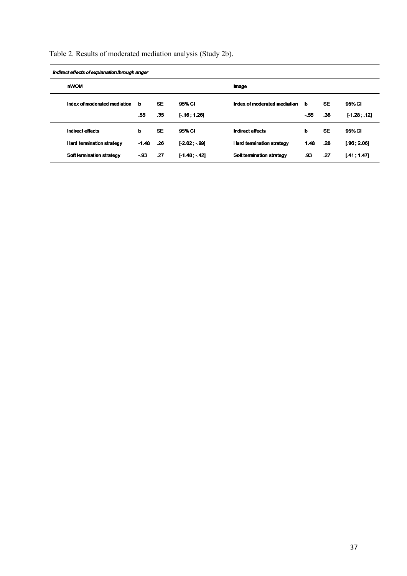|  | Table 2. Results of moderated mediation analysis (Study 2b). |  |  |  |
|--|--------------------------------------------------------------|--|--|--|
|  |                                                              |  |  |  |

| Indirect effects of explanation through anger |                                  |         |           |                |                                  |          |           |               |  |
|-----------------------------------------------|----------------------------------|---------|-----------|----------------|----------------------------------|----------|-----------|---------------|--|
|                                               | nWOM                             |         |           |                | Image                            |          |           |               |  |
|                                               | Index of moderated mediation     | ь       | <b>SE</b> | 95% CI         | Index of moderated mediation     | <b>b</b> | <b>SE</b> | 95% CI        |  |
|                                               |                                  | .55     | .35       | $[-16; 1.26]$  |                                  | $-55$    | .36       | $[-1.28, 12]$ |  |
|                                               | Indirect effects                 | ь       | <b>SE</b> | 95% CI         | Indirect effects                 | ь        | <b>SE</b> | 95% CI        |  |
|                                               | <b>Hard termination strategy</b> | $-1.48$ | .26       | $[-2.02 - 99]$ | <b>Hard termination strategy</b> | 1.48     | .28       | [.96, 2.06]   |  |
|                                               | Soft termination strategy        | - 93    | .27       | $[-1.48 - 42]$ | Soft termination strategy        | .93      | .27       | [.41; 1.47]   |  |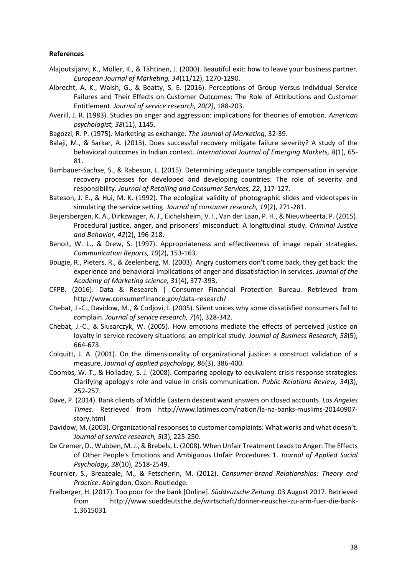#### **References**

- Alajoutsijärvi, K., Möller, K., & Tähtinen, J. (2000). Beautiful exit: how to leave your business partner. *European Journal of Marketing, 34*(11/12), 1270-1290.
- Albrecht, A. K., Walsh, G., & Beatty, S. E. (2016). Perceptions of Group Versus Individual Service Failures and Their Effects on Customer Outcomes: The Role of Attributions and Customer Entitlement. *Journal of service research, 20(2)*, 188-203.
- Averill, J. R. (1983). Studies on anger and aggression: implications for theories of emotion. *American psychologist, 38*(11), 1145.
- Bagozzi, R. P. (1975). Marketing as exchange. *The Journal of Marketing*, 32-39.
- Balaji, M., & Sarkar, A. (2013). Does successful recovery mitigate failure severity? A study of the behavioral outcomes in Indian context. *International Journal of Emerging Markets, 8*(1), 65- 81.
- Bambauer-Sachse, S., & Rabeson, L. (2015). Determining adequate tangible compensation in service recovery processes for developed and developing countries: The role of severity and responsibility. *Journal of Retailing and Consumer Services, 22*, 117-127.
- Bateson, J. E., & Hui, M. K. (1992). The ecological validity of photographic slides and videotapes in simulating the service setting. *Journal of consumer research, 19*(2), 271-281.
- Beijersbergen, K. A., Dirkzwager, A. J., Eichelsheim, V. I., Van der Laan, P. H., & Nieuwbeerta, P. (2015). Procedural justice, anger, and prisoners' misconduct: A longitudinal study. *Criminal Justice and Behavior, 42*(2), 196-218.
- Benoit, W. L., & Drew, S. (1997). Appropriateness and effectiveness of image repair strategies. *Communication Reports, 10*(2), 153-163.
- Bougie, R., Pieters, R., & Zeelenberg, M. (2003). Angry customers don't come back, they get back: the experience and behavioral implications of anger and dissatisfaction in services. *Journal of the Academy of Marketing science, 31*(4), 377-393.
- CFPB. (2016). Data & Research | Consumer Financial Protection Bureau. Retrieved from http://www.consumerfinance.gov/data-research/
- Chebat, J.-C., Davidow, M., & Codjovi, I. (2005). Silent voices why some dissatisfied consumers fail to complain. *Journal of service research, 7*(4), 328-342.
- Chebat, J.-C., & Slusarczyk, W. (2005). How emotions mediate the effects of perceived justice on loyalty in service recovery situations: an empirical study. *Journal of Business Research, 58*(5), 664-673.
- Colquitt, J. A. (2001). On the dimensionality of organizational justice: a construct validation of a measure. *Journal of applied psychology, 86*(3), 386-400.
- Coombs, W. T., & Holladay, S. J. (2008). Comparing apology to equivalent crisis response strategies: Clarifying apology's role and value in crisis communication. *Public Relations Review, 34*(3), 252-257.
- Dave, P. (2014). Bank clients of Middle Eastern descent want answers on closed accounts. *Los Angeles Times*. Retrieved from http://www.latimes.com/nation/la-na-banks-muslims-20140907 story.html
- Davidow, M. (2003). Organizational responses to customer complaints: What works and what doesn't. *Journal of service research, 5*(3), 225-250.
- De Cremer, D., Wubben, M. J., & Brebels, L. (2008). When Unfair Treatment Leads to Anger: The Effects of Other People's Emotions and Ambiguous Unfair Procedures 1. *Journal of Applied Social Psychology, 38*(10), 2518-2549.
- Fournier, S., Breazeale, M., & Fetscherin, M. (2012). *Consumer-brand Relationships: Theory and Practice*. Abingdon, Oxon: Routledge.
- Freiberger, H. (2017). Too poor for the bank [Online]. *Süddeutsche Zeitung.* 03 August 2017. Retrieved from http://www.sueddeutsche.de/wirtschaft/donner-reuschel-zu-arm-fuer-die-bank-1.3615031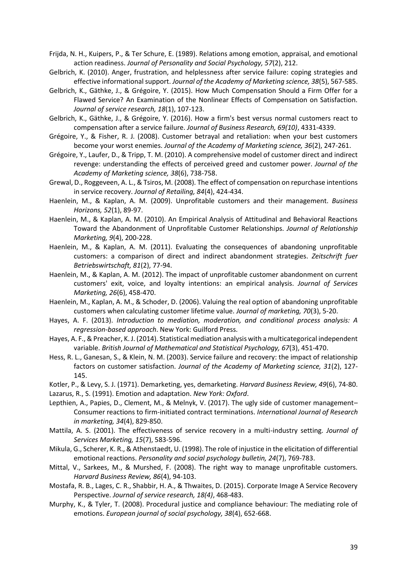Frijda, N. H., Kuipers, P., & Ter Schure, E. (1989). Relations among emotion, appraisal, and emotional action readiness. *Journal of Personality and Social Psychology, 57*(2), 212.

- Gelbrich, K. (2010). Anger, frustration, and helplessness after service failure: coping strategies and effective informational support. *Journal of the Academy of Marketing science, 38*(5), 567-585.
- Gelbrich, K., Gäthke, J., & Grégoire, Y. (2015). How Much Compensation Should a Firm Offer for a Flawed Service? An Examination of the Nonlinear Effects of Compensation on Satisfaction. *Journal of service research, 18*(1), 107-123.
- Gelbrich, K., Gäthke, J., & Grégoire, Y. (2016). How a firm's best versus normal customers react to compensation after a service failure. *Journal of Business Research, 69(10)*, 4331-4339.
- Grégoire, Y., & Fisher, R. J. (2008). Customer betrayal and retaliation: when your best customers become your worst enemies. *Journal of the Academy of Marketing science, 36*(2), 247-261.
- Grégoire, Y., Laufer, D., & Tripp, T. M. (2010). A comprehensive model of customer direct and indirect revenge: understanding the effects of perceived greed and customer power. *Journal of the Academy of Marketing science, 38*(6), 738-758.
- Grewal, D., Roggeveen, A. L., & Tsiros, M. (2008). The effect of compensation on repurchase intentions in service recovery. *Journal of Retailing, 84*(4), 424-434.
- Haenlein, M., & Kaplan, A. M. (2009). Unprofitable customers and their management. *Business Horizons, 52*(1), 89-97.
- Haenlein, M., & Kaplan, A. M. (2010). An Empirical Analysis of Attitudinal and Behavioral Reactions Toward the Abandonment of Unprofitable Customer Relationships. *Journal of Relationship Marketing, 9*(4), 200-228.
- Haenlein, M., & Kaplan, A. M. (2011). Evaluating the consequences of abandoning unprofitable customers: a comparison of direct and indirect abandonment strategies. *Zeitschrift fuer Betriebswirtschaft, 81*(2), 77-94.
- Haenlein, M., & Kaplan, A. M. (2012). The impact of unprofitable customer abandonment on current customers' exit, voice, and loyalty intentions: an empirical analysis. *Journal of Services Marketing, 26*(6), 458-470.
- Haenlein, M., Kaplan, A. M., & Schoder, D. (2006). Valuing the real option of abandoning unprofitable customers when calculating customer lifetime value. *Journal of marketing, 70*(3), 5-20.
- Hayes, A. F. (2013). *Introduction to mediation, moderation, and conditional process analysis: A regression-based approach*. New York: Guilford Press.
- Hayes, A. F., & Preacher, K. J. (2014). Statistical mediation analysis with a multicategorical independent variable. *British Journal of Mathematical and Statistical Psychology, 67*(3), 451-470.
- Hess, R. L., Ganesan, S., & Klein, N. M. (2003). Service failure and recovery: the impact of relationship factors on customer satisfaction. *Journal of the Academy of Marketing science, 31*(2), 127- 145.
- Kotler, P., & Levy, S. J. (1971). Demarketing, yes, demarketing. *Harvard Business Review, 49*(6), 74-80. Lazarus, R., S. (1991). Emotion and adaptation. *New York: Oxford*.
- Lepthien, A., Papies, D., Clement, M., & Melnyk, V. (2017). The ugly side of customer management– Consumer reactions to firm-initiated contract terminations. *International Journal of Research in marketing, 34*(4), 829-850.
- Mattila, A. S. (2001). The effectiveness of service recovery in a multi-industry setting. *Journal of Services Marketing, 15*(7), 583-596.
- Mikula, G., Scherer, K. R., & Athenstaedt, U. (1998). The role of injustice in the elicitation of differential emotional reactions. *Personality and social psychology bulletin, 24*(7), 769-783.
- Mittal, V., Sarkees, M., & Murshed, F. (2008). The right way to manage unprofitable customers. *Harvard Business Review, 86*(4), 94-103.
- Mostafa, R. B., Lages, C. R., Shabbir, H. A., & Thwaites, D. (2015). Corporate Image A Service Recovery Perspective. *Journal of service research, 18(4)*, 468-483.
- Murphy, K., & Tyler, T. (2008). Procedural justice and compliance behaviour: The mediating role of emotions. *European journal of social psychology, 38*(4), 652-668.